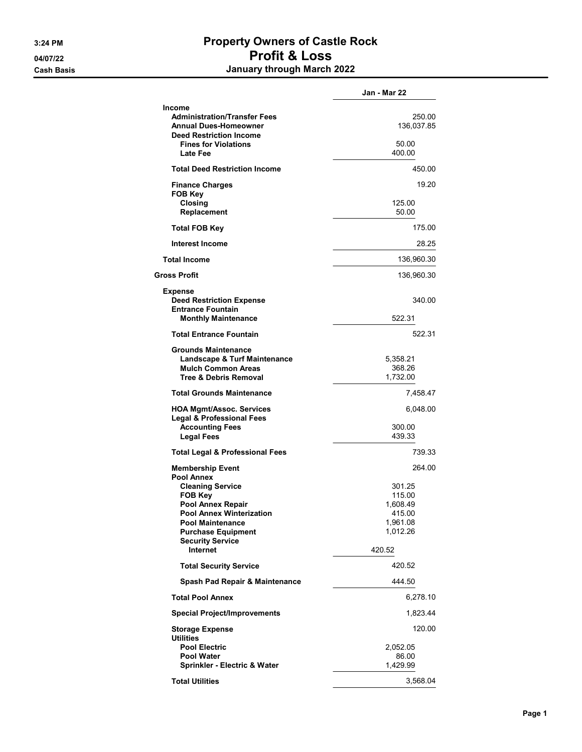## 3:24 PM **Property Owners of Castle Rock** 04/07/22 Profit & Loss Cash Basis January through March 2022

|                                                        | Jan - Mar 22 |
|--------------------------------------------------------|--------------|
| <b>Income</b>                                          |              |
| <b>Administration/Transfer Fees</b>                    | 250.00       |
| <b>Annual Dues-Homeowner</b>                           | 136,037.85   |
| <b>Deed Restriction Income</b>                         |              |
| <b>Fines for Violations</b>                            | 50.00        |
| Late Fee                                               | 400.00       |
| <b>Total Deed Restriction Income</b>                   | 450.00       |
| <b>Finance Charges</b>                                 | 19.20        |
| <b>FOB Kev</b>                                         |              |
| Closing                                                | 125.00       |
| Replacement                                            | 50.00        |
| <b>Total FOB Key</b>                                   | 175.00       |
| Interest Income                                        | 28.25        |
| <b>Total Income</b>                                    | 136,960.30   |
|                                                        |              |
| Gross Profit                                           | 136,960.30   |
| <b>Expense</b>                                         |              |
| <b>Deed Restriction Expense</b>                        | 340.00       |
| <b>Entrance Fountain</b><br><b>Monthly Maintenance</b> | 522.31       |
|                                                        |              |
| <b>Total Entrance Fountain</b>                         | 522.31       |
| <b>Grounds Maintenance</b>                             |              |
| <b>Landscape &amp; Turf Maintenance</b>                | 5,358.21     |
| <b>Mulch Common Areas</b>                              | 368.26       |
| <b>Tree &amp; Debris Removal</b>                       | 1,732.00     |
|                                                        |              |
| Total Grounds Maintenance                              | 7,458.47     |
| <b>HOA Mgmt/Assoc. Services</b>                        | 6,048.00     |
| <b>Legal &amp; Professional Fees</b>                   |              |
| <b>Accounting Fees</b>                                 | 300.00       |
| <b>Legal Fees</b>                                      | 439.33       |
| <b>Total Legal &amp; Professional Fees</b>             | 739.33       |
|                                                        |              |
| <b>Membership Event</b>                                | 264.00       |
| <b>Pool Annex</b>                                      |              |
| <b>Cleaning Service</b>                                | 301.25       |
| <b>FOB Key</b>                                         | 115.00       |
| Pool Annex Repair                                      | 1,608.49     |
| Pool Annex Winterization                               | 415.00       |
| <b>Pool Maintenance</b>                                | 1,961.08     |
| <b>Purchase Equipment</b>                              | 1,012.26     |
| <b>Security Service</b><br><b>Internet</b>             | 420.52       |
| <b>Total Security Service</b>                          | 420.52       |
| Spash Pad Repair & Maintenance                         | 444.50       |
| <b>Total Pool Annex</b>                                | 6,278.10     |
| <b>Special Project/Improvements</b>                    | 1,823.44     |
| <b>Storage Expense</b>                                 | 120.00       |
| <b>Utilities</b>                                       |              |
| <b>Pool Electric</b>                                   | 2,052.05     |
| <b>Pool Water</b>                                      | 86.00        |
| Sprinkler - Electric & Water                           | 1,429.99     |
|                                                        | 3,568.04     |
| <b>Total Utilities</b>                                 |              |